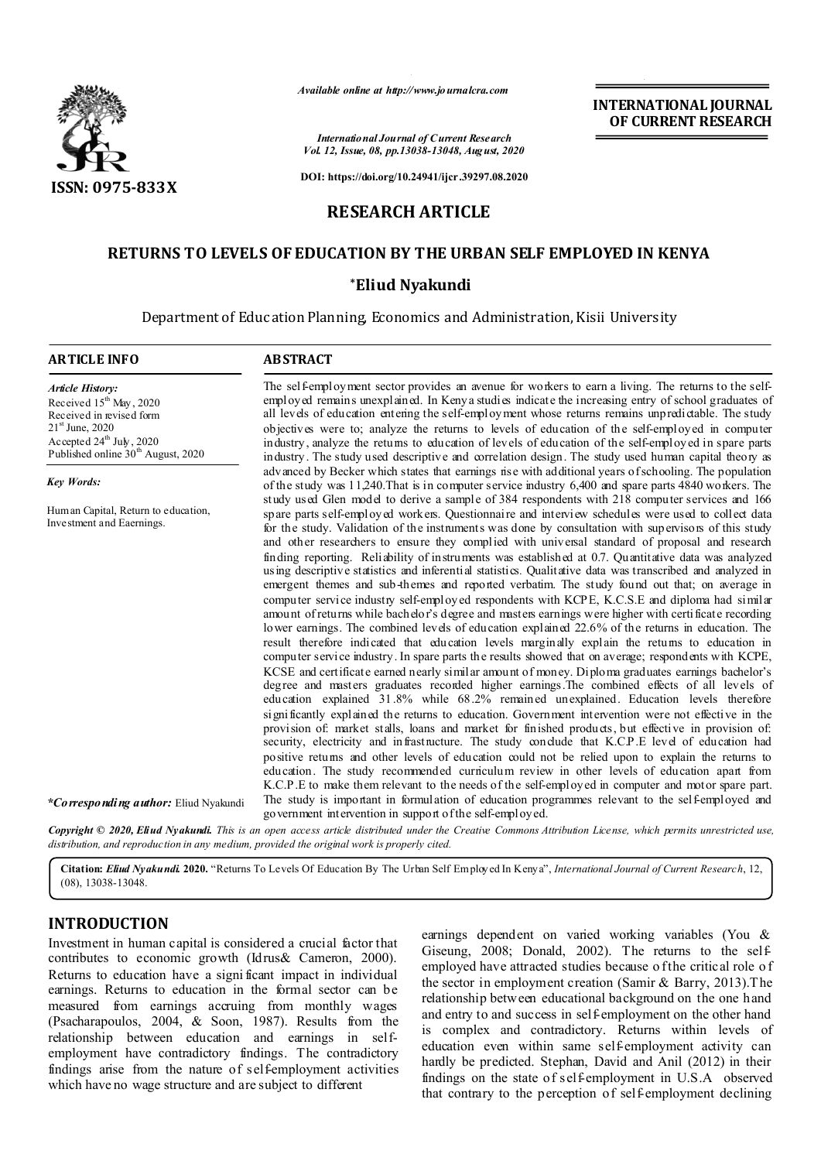

*Available online at http://www.journalcra.com*

*International Journal of Current Research Vol. 12, Issue, 08, pp.13038-13048, August, 2020*

**DOI: https://doi.org/10.24941/ijcr.39297.08.2020**

# **RESEARCH ARTICLE**

# **RETURNS TO LEVELS OF EDUCATION BY THE URBAN SELF EMPLOYED IN KENYA**

## **\*Eliud Nyakundi**

Department of Education Planning, Economics and Administration, Kisii University

| <b>ARTICLE INFO</b>                                                                                                                                                                                          | <b>ABSTRACT</b>                                                                                                                                                                                                                                                                                                                                                                                                                                                                                                                                                                                                                                                                                                                                                                                                                                                                                                                                                                                                                                                                                                                                                                                                                                                                                                                                                                                                                                                                                                                                                                                                                                                                                                                                                                                                                                                                                                                                                                       |
|--------------------------------------------------------------------------------------------------------------------------------------------------------------------------------------------------------------|---------------------------------------------------------------------------------------------------------------------------------------------------------------------------------------------------------------------------------------------------------------------------------------------------------------------------------------------------------------------------------------------------------------------------------------------------------------------------------------------------------------------------------------------------------------------------------------------------------------------------------------------------------------------------------------------------------------------------------------------------------------------------------------------------------------------------------------------------------------------------------------------------------------------------------------------------------------------------------------------------------------------------------------------------------------------------------------------------------------------------------------------------------------------------------------------------------------------------------------------------------------------------------------------------------------------------------------------------------------------------------------------------------------------------------------------------------------------------------------------------------------------------------------------------------------------------------------------------------------------------------------------------------------------------------------------------------------------------------------------------------------------------------------------------------------------------------------------------------------------------------------------------------------------------------------------------------------------------------------|
| <b>Article History:</b><br>Received $15^{th}$ May, 2020<br>Received in revised form<br>21 <sup>st</sup> June, 2020<br>Accepted 24 <sup>th</sup> July, 2020<br>Published online 30 <sup>th</sup> August, 2020 | The self-employment sector provides an avenue for workers to earn a living. The returns to the self-<br>employed remains unexplained. In Kenya studies indicate the increasing entry of school graduates of<br>all levels of education entering the self-employment whose returns remains unpredictable. The study<br>objectives were to; analyze the returns to levels of education of the self-employed in computer<br>in dustry, analyze the retums to education of levels of education of the self-employed in spare parts<br>in dustry. The study used descriptive and correlation design. The study used human capital theory as                                                                                                                                                                                                                                                                                                                                                                                                                                                                                                                                                                                                                                                                                                                                                                                                                                                                                                                                                                                                                                                                                                                                                                                                                                                                                                                                                |
| Key Words:                                                                                                                                                                                                   | advanced by Becker which states that earnings is e with additional years of schooling. The population<br>of the study was 11,240. That is in computer service industry 6,400 and spare parts 4840 workers. The                                                                                                                                                                                                                                                                                                                                                                                                                                                                                                                                                                                                                                                                                                                                                                                                                                                                                                                                                                                                                                                                                                                                                                                                                                                                                                                                                                                                                                                                                                                                                                                                                                                                                                                                                                        |
| Hum an Capital, Return to education,<br>Investment and Eaernings.                                                                                                                                            | study used Glen model to derive a sample of 384 respondents with 218 computer services and 166<br>spare parts self-employed workers. Questionnaire and interview schedules were used to collect data<br>for the study. Validation of the instruments was done by consultation with supervisors of this study<br>and other researchers to ensure they complied with universal standard of proposal and research<br>finding reporting. Reliability of instruments was established at 0.7. Quantitative data was analyzed<br>using descriptive statistics and inferential statistics. Qualitative data was transcribed and analyzed in<br>emergent themes and sub-themes and reported verbatim. The study found out that; on average in<br>computer service industry self-employed respondents with KCPE, K.C.S.E and diploma had similar<br>amount of returns while bach dor's degree and masters earnings were higher with certificate recording<br>lower earnings. The combined levels of education explained 22.6% of the returns in education. The<br>result therefore indicated that education levels marginally explain the returns to education in<br>computer service industry. In spare parts the results showed that on average; respondents with KCPE,<br>KCSE and certificate earned nearly similar amount of money. Diploma graduates earnings bachelor's<br>degree and masters graduates recorded higher earnings. The combined effects of all levels of<br>education explained 31.8% while 68.2% remained unexplained. Education levels therefore<br>significantly explained the returns to education. Government intervention were not effective in the<br>provision of: market stalls, loans and market for finished products, but effective in provision of:<br>security, electricity and infrastructure. The study conclude that K.C.P.E level of education had<br>positive returns and other levels of education could not be relied upon to explain the returns to |
|                                                                                                                                                                                                              | education. The study recommended curriculum review in other levels of education apart from<br>K.C.P. E to make them relevant to the needs of the self-employed in computer and motor spare part.                                                                                                                                                                                                                                                                                                                                                                                                                                                                                                                                                                                                                                                                                                                                                                                                                                                                                                                                                                                                                                                                                                                                                                                                                                                                                                                                                                                                                                                                                                                                                                                                                                                                                                                                                                                      |
| *Corresponding author: Eliud Nyakundi                                                                                                                                                                        | The study is important in formulation of education programmes relevant to the self-employed and<br>government intervention in support of the self-employed.                                                                                                                                                                                                                                                                                                                                                                                                                                                                                                                                                                                                                                                                                                                                                                                                                                                                                                                                                                                                                                                                                                                                                                                                                                                                                                                                                                                                                                                                                                                                                                                                                                                                                                                                                                                                                           |
| distribution, and reproduction in any medium, provided the original work is properly cited.                                                                                                                  | Copyright © 2020, Eliud Nyakundi. This is an open access article distributed under the Creative Commons Attribution License, which permits unrestricted use,                                                                                                                                                                                                                                                                                                                                                                                                                                                                                                                                                                                                                                                                                                                                                                                                                                                                                                                                                                                                                                                                                                                                                                                                                                                                                                                                                                                                                                                                                                                                                                                                                                                                                                                                                                                                                          |

**Citation:** *Eliud Nyakundi.* **2020.** "Returns To Levels Of Education By The Urban Self Employed In Kenya", *International Journal of Current Research*, 12,

(08), 13038-13048.

## **INTRODUCTION**

Investment in human capital is considered a crucial factor that contributes to economic growth (Idrus& Cameron, 2000). Returns to education have a signi ficant impact in individual earnings. Returns to education in the formal sector can be measured from earnings accruing from monthly wages (Psacharapoulos, 2004, & Soon, 1987). Results from the relationship between education and earnings in selfemployment have contradictory findings. The contradictory findings arise from the nature of self-employment activities which have no wage structure and are subject to different

earnings dependent on varied working variables (You & Giseung, 2008; Donald, 2002). The returns to the selfemployed have attracted studies because o f the critical role of the sector in employment creation (Samir & Barry, 2013).The relationship between educational background on the one hand and entry to and success in self-employment on the other hand is complex and contradictory. Returns within levels of education even within same self-employment activity can hardly be predicted. Stephan, David and Anil (2012) in their findings on the state of self-employment in U.S.A observed that contrary to the perception of self-employment declining

**INTERNATIONAL JOURNAL OF CURRENT RESEARCH**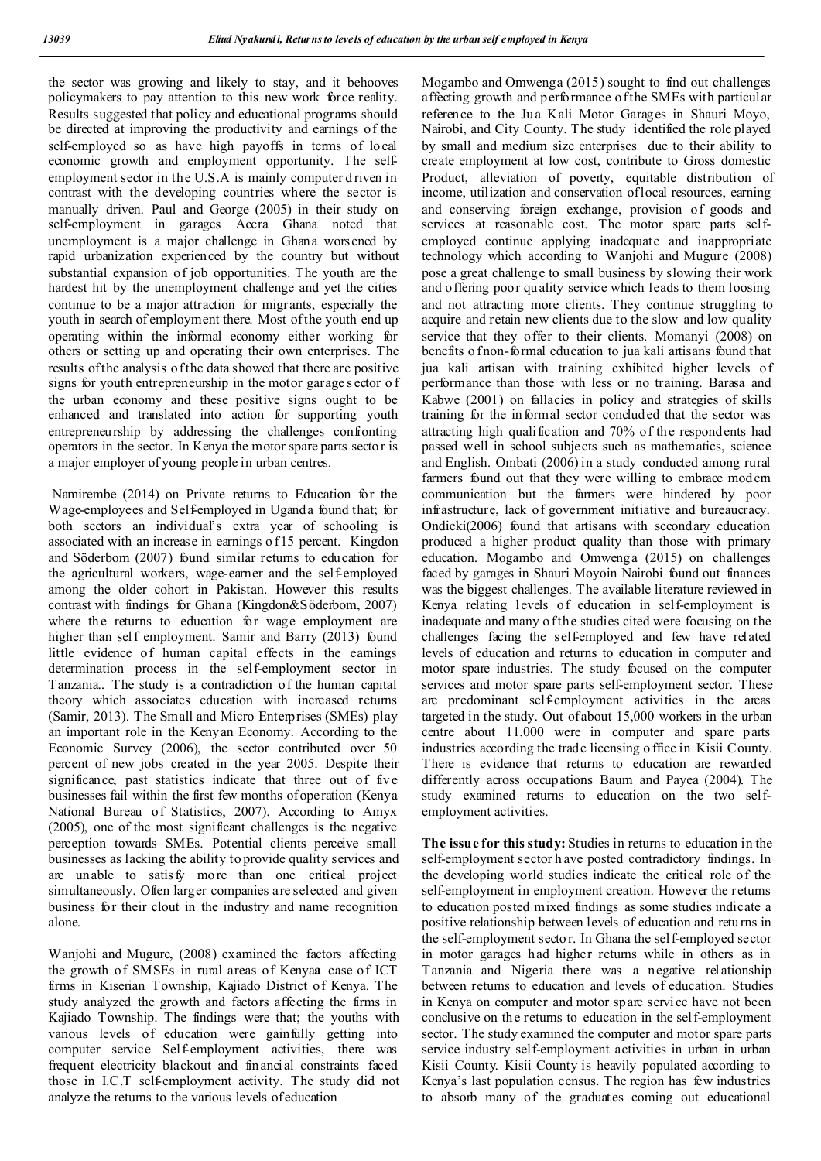the sector was growing and likely to stay, and it behooves policymakers to pay attention to this new work force reality. Results suggested that policy and educational programs should be directed at improving the productivity and earnings of the self-employed so as have high payoffs in terms of local economic growth and employment opportunity. The selfemployment sector in the U.S.A is mainly computer d riven in contrast with the developing countries where the sector is manually driven. Paul and George (2005) in their study on self-employment in garages Accra Ghana noted that unemployment is a major challenge in Ghana worsened by rapid urbanization experienced by the country but without substantial expansion of job opportunities. The youth are the hardest hit by the unemployment challenge and yet the cities continue to be a major attraction for migrants, especially the youth in search of employment there. Most of the youth end up operating within the informal economy either working for others or setting up and operating their own enterprises. The results of the analysis of the data showed that there are positive signs for youth entrepreneurship in the motor garage s ector o f the urban economy and these positive signs ought to be enhanced and translated into action for supporting youth entrepreneurship by addressing the challenges confronting operators in the sector. In Kenya the motor spare parts sector is a major employer of young people in urban centres.

Namirembe (2014) on Private returns to Education for the Wage-employees and Self-employed in Uganda found that; for both sectors an individual's extra year of schooling is associated with an increase in earnings o f 15 percent. Kingdon and Söderbom (2007) found similar returns to education for the agricultural workers, wage-earner and the self-employed among the older cohort in Pakistan. However this results contrast with findings for Ghana (Kingdon&Söderbom, 2007) where the returns to education for wage employment are higher than self employment. Samir and Barry (2013) found little evidence of human capital effects in the earnings determination process in the self-employment sector in Tanzania.. The study is a contradiction of the human capital theory which associates education with increased returns (Samir, 2013). The Small and Micro Enterprises (SMEs) play an important role in the Kenyan Economy. According to the Economic Survey (2006), the sector contributed over 50 percent of new jobs created in the year 2005. Despite their significance, past statistics indicate that three out of five businesses fail within the first few months of operation (Kenya National Bureau of Statistics, 2007). According to Amyx (2005), one of the most significant challenges is the negative perception towards SMEs. Potential clients perceive small businesses as lacking the ability to provide quality services and are unable to satisfy more than one critical project simultaneously. Often larger companies are selected and given business for their clout in the industry and name recognition alone.

Wanjohi and Mugure, (2008) examined the factors affecting the growth of SMSEs in rural areas of Kenya**a** case of ICT firms in Kiserian Township, Kajiado District of Kenya. The study analyzed the growth and factors affecting the firms in Kajiado Township. The findings were that; the youths with various levels of education were gainfully getting into computer service Self-employment activities, there was frequent electricity blackout and financial constraints faced those in I.C.T self-employment activity. The study did not analyze the returns to the various levels of education

Mogambo and Omwenga (2015) sought to find out challenges affecting growth and performance of the SMEs with particular reference to the Jua Kali Motor Garages in Shauri Moyo, Nairobi, and City County. The study identified the role played by small and medium size enterprises due to their ability to create employment at low cost, contribute to Gross domestic Product, alleviation of poverty, equitable distribution of income, utilization and conservation of local resources, earning and conserving foreign exchange, provision of goods and services at reasonable cost. The motor spare parts selfemployed continue applying inadequate and inappropriate technology which according to Wanjohi and Mugure (2008) pose a great challenge to small business by slowing their work and offering poor quality service which leads to them loosing and not attracting more clients. They continue struggling to acquire and retain new clients due to the slow and low quality service that they offer to their clients. Momanyi (2008) on benefits o fnon-formal education to jua kali artisans found that jua kali artisan with training exhibited higher levels of performance than those with less or no training. Barasa and Kabwe (2001) on fallacies in policy and strategies of skills training for the informal sector concluded that the sector was attracting high qualification and 70% of the respondents had passed well in school subjects such as mathematics, science and English. Ombati (2006) in a study conducted among rural farmers found out that they were willing to embrace modem communication but the farmers were hindered by poor infrastructure, lack of government initiative and bureaucracy. Ondieki(2006) found that artisans with secondary education produced a higher product quality than those with primary education. Mogambo and Omwenga (2015) on challenges faced by garages in Shauri Moyoin Nairobi found out finances was the biggest challenges. The available literature reviewed in Kenya relating levels of education in self-employment is inadequate and many of the studies cited were focusing on the challenges facing the self-employed and few have related levels of education and returns to education in computer and motor spare industries. The study focused on the computer services and motor spare parts self-employment sector. These are predominant self-employment activities in the areas targeted in the study. Out of about 15,000 workers in the urban centre about 11,000 were in computer and spare parts industries according the trade licensing o ffice in Kisii County. There is evidence that returns to education are rewarded differently across occupations Baum and Payea (2004). The study examined returns to education on the two selfemployment activities.

**The issue for this study:** Studies in returns to education in the self-employment sector h ave posted contradictory findings. In the developing world studies indicate the critical role of the self-employment in employment creation. However the returns to education posted mixed findings as some studies indicate a positive relationship between levels of education and returns in the self-employment sector. In Ghana the self-employed sector in motor garages had higher returns while in others as in Tanzania and Nigeria there was a negative relationship between returns to education and levels of education. Studies in Kenya on computer and motor spare service have not been conclusive on the returns to education in the self-employment sector. The study examined the computer and motor spare parts service industry self-employment activities in urban in urban Kisii County. Kisii County is heavily populated according to Kenya's last population census. The region has few industries to absorb many of the graduates coming out educational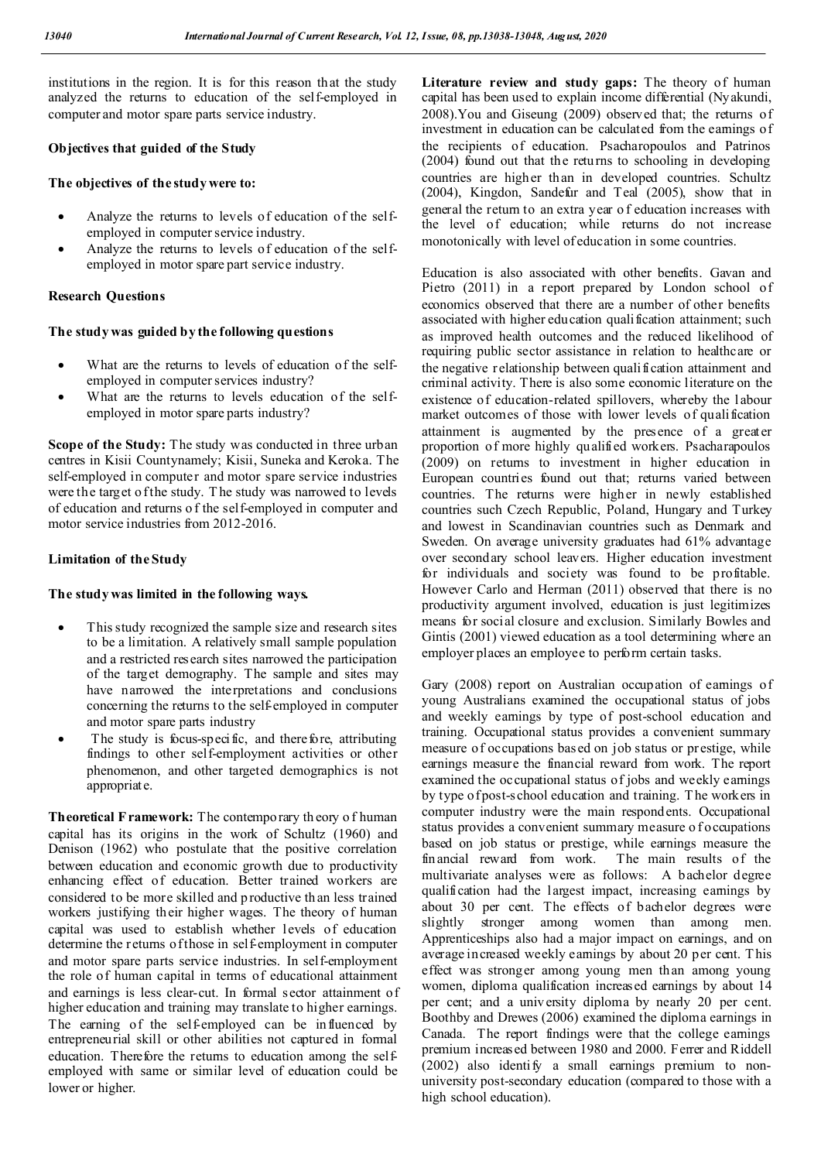institutions in the region. It is for this reason that the study analyzed the returns to education of the self-employed in computer and motor spare parts service industry.

### **Objectives that guided of the Study**

### **The objectives of the study were to:**

- Analyze the returns to levels of education of the selfemployed in computer service industry.
- Analyze the returns to levels of education of the selfemployed in motor spare part service industry.

## **Research Questions**

## **The study was guided by the following questions**

- What are the returns to levels of education of the selfemployed in computer services industry?
- What are the returns to levels education of the selfemployed in motor spare parts industry?

**Scope of the Study:** The study was conducted in three urban centres in Kisii Countynamely; Kisii, Suneka and Keroka. The self-employed in computer and motor spare service industries were the target of the study. The study was narrowed to levels of education and returns o f the self-employed in computer and motor service industries from 2012-2016.

## **Limitation of the Study**

## **The study was limited in the following ways.**

- This study recognized the sample size and research sites to be a limitation. A relatively small sample population and a restricted research sites narrowed the participation of the target demography. The sample and sites may have narrowed the interpretations and conclusions concerning the returns to the self-employed in computer and motor spare parts industry
- The study is focus-specific, and therefore, attributing findings to other self-employment activities or other phenomenon, and other targeted demographics is not appropriate.

**Theoretical F ramework:** The contemporary th eory o f human capital has its origins in the work of Schultz (1960) and Denison (1962) who postulate that the positive correlation between education and economic growth due to productivity enhancing effect of education. Better trained workers are considered to be more skilled and p roductive th an less trained workers justifying their higher wages. The theory of human capital was used to establish whether levels of education determine the returns of those in self-employment in computer and motor spare parts service industries. In self-employment the role of human capital in terms of educational attainment and earnings is less clear-cut. In formal sector attainment of higher education and training may translate to higher earnings. The earning of the self-employed can be influenced by entrepreneurial skill or other abilities not captured in formal education. Therefore the returns to education among the selfemployed with same or similar level of education could be lower or higher.

Literature review and study gaps: The theory of human capital has been used to explain income differential (Nyakundi, 2008).You and Giseung (2009) observed that; the returns of investment in education can be calculated from the earnings of the recipients of education. Psacharopoulos and Patrinos (2004) found out that the returns to schooling in developing countries are higher than in developed countries. Schultz (2004), Kingdon, Sandefur and Teal (2005), show that in general the return to an extra year o f education increases with the level of education; while returns do not increase monotonically with level of education in some countries.

Education is also associated with other benefits. Gavan and Pietro (2011) in a report prepared by London school of economics observed that there are a number of other benefits associated with higher education qualification attainment; such as improved health outcomes and the reduced likelihood of requiring public sector assistance in relation to healthcare or the negative relationship between qualification attainment and criminal activity. There is also some economic literature on the existence of education-related spillovers, whereby the labour market outcomes of those with lower levels of qualification attainment is augmented by the presence of a greater proportion of more highly qualified workers. Psacharapoulos (2009) on returns to investment in higher education in European countries found out that; returns varied between countries. The returns were higher in newly established countries such Czech Republic, Poland, Hungary and Turkey and lowest in Scandinavian countries such as Denmark and Sweden. On average university graduates had 61% advantage over secondary school leavers. Higher education investment for individuals and society was found to be profitable. However Carlo and Herman (2011) observed that there is no productivity argument involved, education is just legitimizes means for social closure and exclusion. Similarly Bowles and Gintis (2001) viewed education as a tool determining where an employer places an employee to perform certain tasks.

Gary (2008) report on Australian occupation of earnings of young Australians examined the occupational status of jobs and weekly earnings by type of post-school education and training. Occupational status provides a convenient summary measure of occupations based on job status or prestige, while earnings measure the financial reward from work. The report examined the occupational status of jobs and weekly earnings by type of post-school education and training. T he workers in computer industry were the main respondents. Occupational status provides a convenient summary measure o f occupations based on job status or prestige, while earnings measure the financial reward from work. The main results of the multivariate analyses were as follows: A bachelor degree qualification had the largest impact, increasing earnings by about 30 per cent. The effects of bachelor degrees were slightly stronger among women than among men. Apprenticeships also had a major impact on earnings, and on average increased weekly earnings by about 20 per cent. T his effect was stronger among young men than among young women, diploma qualification increased earnings by about 14 per cent; and a university diploma by nearly 20 per cent. Boothby and Drewes (2006) examined the diploma earnings in Canada. The report findings were that the college earnings premium increased between 1980 and 2000. Ferrer and Riddell (2002) also identify a small earnings premium to nonuniversity post-secondary education (compared to those with a high school education).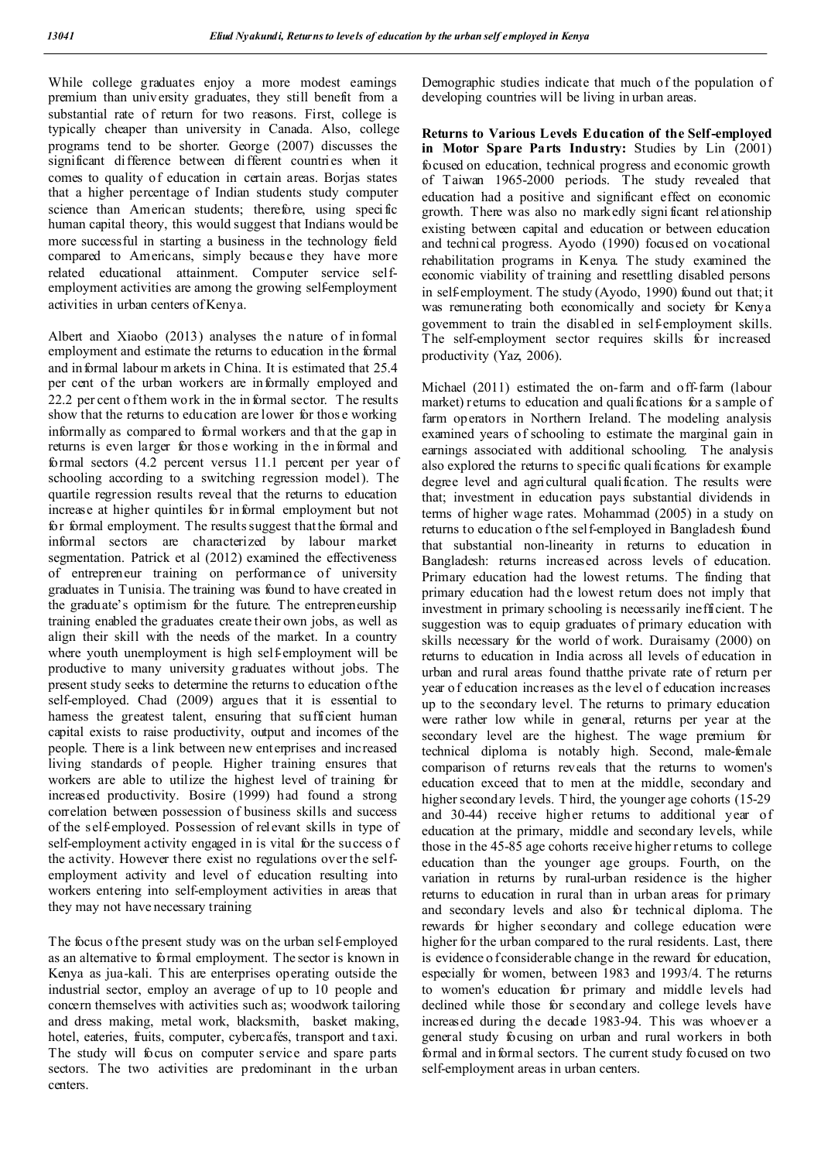While college graduates enjoy a more modest earnings premium than university graduates, they still benefit from a substantial rate of return for two reasons. First, college is typically cheaper than university in Canada. Also, college programs tend to be shorter. George (2007) discusses the significant difference between different countries when it comes to quality of education in certain areas. Borjas states that a higher percentage of Indian students study computer science than American students; therefore, using specific human capital theory, this would suggest that Indians would be more successful in starting a business in the technology field compared to Americans, simply because they have more related educational attainment. Computer service selfemployment activities are among the growing self-employment activities in urban centers of Kenya.

Albert and Xiaobo (2013) analyses the nature of informal employment and estimate the returns to education in the formal and in formal labour m arkets in China. It is estimated that 25.4 per cent of the urban workers are informally employed and 22.2 per cent o f them work in the informal sector. The results show that the returns to education are lower for thos e working informally as compared to formal workers and that the gap in returns is even larger for thos e working in the informal and formal sectors (4.2 percent versus 11.1 percent per year of schooling according to a switching regression model). The quartile regression results reveal that the returns to education increase at higher quintiles for informal employment but not for formal employment. The results suggest that the formal and informal sectors are characterized by labour market segmentation. Patrick et al (2012) examined the effectiveness of entrepreneur training on performance of university graduates in Tunisia. The training was found to have created in the graduate's optimism for the future. The entrepreneurship training enabled the graduates create their own jobs, as well as align their skill with the needs of the market. In a country where youth unemployment is high self-employment will be productive to many university graduates without jobs. The present study seeks to determine the returns to education of the self-employed. Chad (2009) argues that it is essential to harness the greatest talent, ensuring that sufficient human capital exists to raise productivity, output and incomes of the people. There is a link between new enterprises and increased living standards of people. Higher training ensures that workers are able to utilize the highest level of training for increased productivity. Bosire (1999) had found a strong correlation between possession of business skills and success of the self-employed. Possession of relevant skills in type of self-employment activity engaged in is vital for the success o f the activity. However there exist no regulations over the selfemployment activity and level of education resulting into workers entering into self-employment activities in areas that they may not have necessary training

The focus of the present study was on the urban self-employed as an alternative to formal employment. The sector is known in Kenya as jua-kali. This are enterprises operating outside the industrial sector, employ an average of up to 10 people and concern themselves with activities such as; woodwork tailoring and dress making, metal work, blacksmith, basket making, hotel, eateries, fruits, computer, cybercafés, transport and taxi. The study will focus on computer service and spare parts sectors. The two activities are predominant in the urban centers.

Demographic studies indicate that much of the population of developing countries will be living in urban areas.

**Returns to Various Levels Education of the Self-employed in Motor Spare Parts Industry:** Studies by Lin (2001) focused on education, technical progress and economic growth of Taiwan 1965-2000 periods. The study revealed that education had a positive and significant effect on economic growth. There was also no markedly signi ficant relationship existing between capital and education or between education and technical progress. Ayodo (1990) focused on vocational rehabilitation programs in Kenya. The study examined the economic viability of training and resettling disabled persons in self-employment. The study (Ayodo, 1990) found out that; it was remunerating both economically and society for Kenya government to train the disabled in self-employment skills. The self-employment sector requires skills for increased productivity (Yaz, 2006).

Michael (2011) estimated the on-farm and off-farm (labour market) returns to education and qualifications for a sample of farm operators in Northern Ireland. The modeling analysis examined years of schooling to estimate the marginal gain in earnings associated with additional schooling. The analysis also explored the returns to specific quali fications for example degree level and agricultural qualification. The results were that; investment in education pays substantial dividends in terms of higher wage rates. Mohammad (2005) in a study on returns to education o f the self-employed in Bangladesh found that substantial non-linearity in returns to education in Bangladesh: returns increased across levels of education. Primary education had the lowest returns. The finding that primary education had the lowest return does not imply that investment in primary schooling is necessarily inefficient. T he suggestion was to equip graduates of primary education with skills necessary for the world of work. Duraisamy (2000) on returns to education in India across all levels of education in urban and rural areas found thatthe private rate of return per year of education increases as the level o f education increases up to the secondary level. The returns to primary education were rather low while in general, returns per year at the secondary level are the highest. The wage premium for technical diploma is notably high. Second, male-female comparison of returns reveals that the returns to women's education exceed that to men at the middle, secondary and higher secondary levels. T hird, the younger age cohorts (15-29 and 30-44) receive higher returns to additional year of education at the primary, middle and secondary levels, while those in the 45-85 age cohorts receive higher returns to college education than the younger age groups. Fourth, on the variation in returns by rural-urban residence is the higher returns to education in rural than in urban areas for primary and secondary levels and also for technical diploma. The rewards for higher secondary and college education were higher for the urban compared to the rural residents. Last, there is evidence o f considerable change in the reward for education, especially for women, between 1983 and 1993/4. T he returns to women's education for primary and middle levels had declined while those for secondary and college levels have increased during the decade 1983-94. This was whoever a general study focusing on urban and rural workers in both formal and in formal sectors. The current study focused on two self-employment areas in urban centers.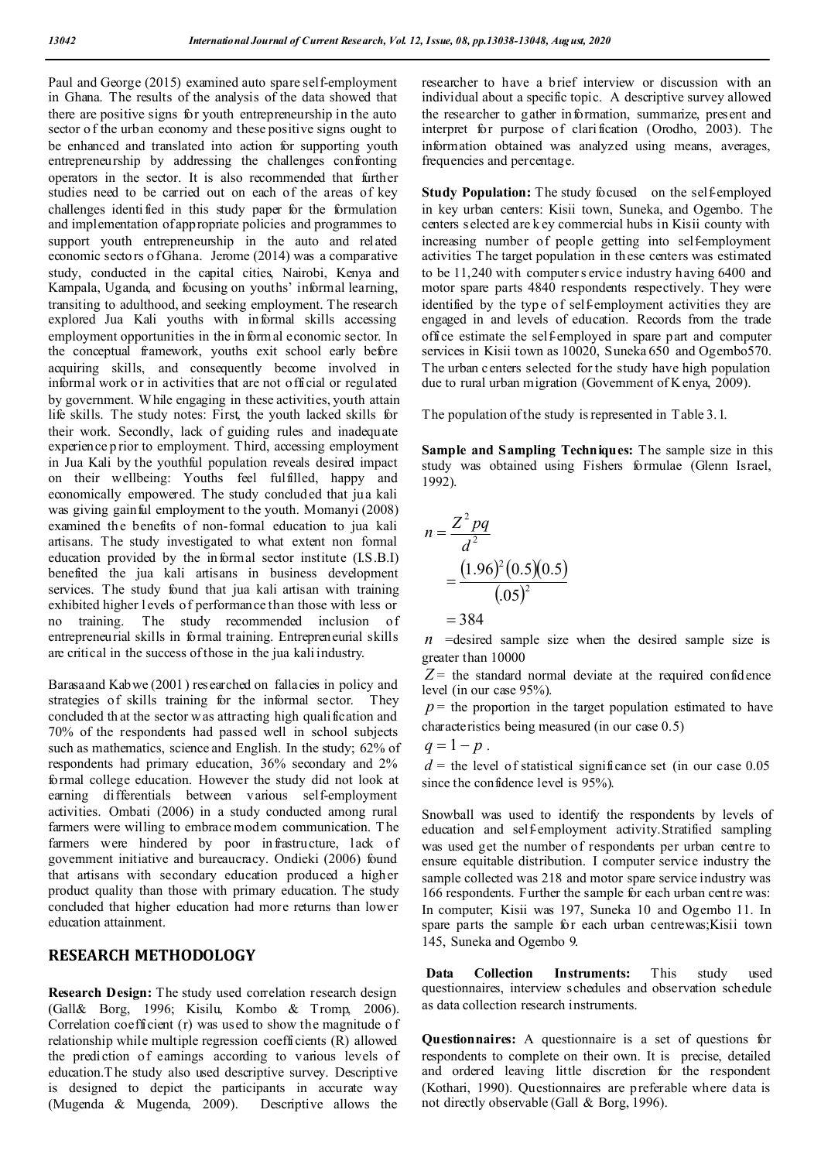Paul and George (2015) examined auto spare self-employment in Ghana. The results of the analysis of the data showed that there are positive signs for youth entrepreneurship in the auto sector of the urban economy and these positive signs ought to be enhanced and translated into action for supporting youth entrepreneurship by addressing the challenges confronting operators in the sector. It is also recommended that further studies need to be carried out on each of the areas of key challenges identified in this study paper for the formulation and implementation of appropriate policies and programmes to support youth entrepreneurship in the auto and related economic sectors o f Ghana. Jerome (2014) was a comparative study, conducted in the capital cities, Nairobi, Kenya and Kampala, Uganda, and focusing on youths' informal learning, transiting to adulthood, and seeking employment. The research explored Jua Kali youths with informal skills accessing employment opportunities in the in formal economic sector. In the conceptual framework, youths exit school early before acquiring skills, and consequently become involved in informal work or in activities that are not official or regulated by government. While engaging in these activities, youth attain life skills. The study notes: First, the youth lacked skills for their work. Secondly, lack of guiding rules and inadequate experience p rior to employment. Third, accessing employment in Jua Kali by the youthful population reveals desired impact on their wellbeing: Youths feel fulfilled, happy and economically empowered. The study concluded that jua kali was giving gainful employment to the youth. Momanyi (2008) examined the benefits of non-formal education to jua kali artisans. The study investigated to what extent non formal education provided by the informal sector institute (I.S.B.I) benefited the jua kali artisans in business development services. The study found that jua kali artisan with training exhibited higher l evels of performance than those with less or no training. The study recommended inclusion of entrepreneurial skills in formal training. Entrepreneurial skills are critical in the success of those in the jua kali industry.

Barasaand Kabwe (2001) researched on fallacies in policy and strategies of skills training for the informal sector. They concluded that the sector was attracting high qualification and 70% of the respondents had passed well in school subjects such as mathematics, science and English. In the study; 62% of respondents had primary education, 36% secondary and 2% formal college education. However the study did not look at earning differentials between various self-employment activities. Ombati (2006) in a study conducted among rural farmers were willing to embrace modern communication. T he farmers were hindered by poor infrastructure, lack of government initiative and bureaucracy. Ondieki (2006) found that artisans with secondary education produced a higher product quality than those with primary education. The study concluded that higher education had more returns than lower education attainment.

## **RESEARCH METHODOLOGY**

**Research Design:** The study used correlation research design (Gall& Borg, 1996; Kisilu, Kombo & Tromp, 2006). Correlation coefficient (r) was used to show the magnitude o f relationship while multiple regression coefficients (R) allowed the prediction of earnings according to various levels of education.T he study also used descriptive survey. Descriptive is designed to depict the participants in accurate way (Mugenda & Mugenda, 2009). Descriptive allows the

researcher to have a brief interview or discussion with an individual about a specific topic. A descriptive survey allowed the researcher to gather information, summarize, present and interpret for purpose of clarification (Orodho, 2003). The information obtained was analyzed using means, averages, frequencies and percentage.

**Study Population:** The study focused on the self-employed in key urban centers: Kisii town, Suneka, and Ogembo. The centers selected are k ey commercial hubs in Kisii county with increasing number of people getting into self-employment activities The target population in these centers was estimated to be 11,240 with computer s ervice industry having 6400 and motor spare parts 4840 respondents respectively. They were identified by the type of self-employment activities they are engaged in and levels of education. Records from the trade office estimate the self-employed in spare part and computer services in Kisii town as 10020, Suneka 650 and Ogembo570. The urban centers selected for the study have high population due to rural urban migration (Government of K enya, 2009).

The population of the study is represented in Table 3.1.

**Sample and Sampling Techniques:** The sample size in this study was obtained using Fishers formulae (Glenn Israel, 1992).

$$
n = \frac{Z^2 pq}{d^2}
$$
  
= 
$$
\frac{(1.96)^2 (0.5)(0.5)}{(.05)^2}
$$
  
= 384

*n* =desired sample size when the desired sample size is greater than 10000

 $Z$  = the standard normal deviate at the required confidence level (in our case 95%).

 $p =$  the proportion in the target population estimated to have characteristics being measured (in our case 0.5)

$$
q=1-p.
$$

 $d =$  the level of statistical significance set (in our case  $0.05$ ) since the confidence level is 95%).

Snowball was used to identify the respondents by levels of education and self-employment activity.Stratified sampling was used get the number of respondents per urban centre to ensure equitable distribution. I computer service industry the sample collected was 218 and motor spare service industry was 166 respondents. Further the sample for each urban centre was: In computer; Kisii was 197, Suneka 10 and Ogembo 11. In spare parts the sample for each urban centrewas;Kisii town 145, Suneka and Ogembo 9.

**Data Collection Instruments:** This study used questionnaires, interview schedules and observation schedule as data collection research instruments.

**Questionnaires:** A questionnaire is a set of questions for respondents to complete on their own. It is precise, detailed and ordered leaving little discretion for the respondent (Kothari, 1990). Questionnaires are preferable where data is not directly observable (Gall & Borg, 1996).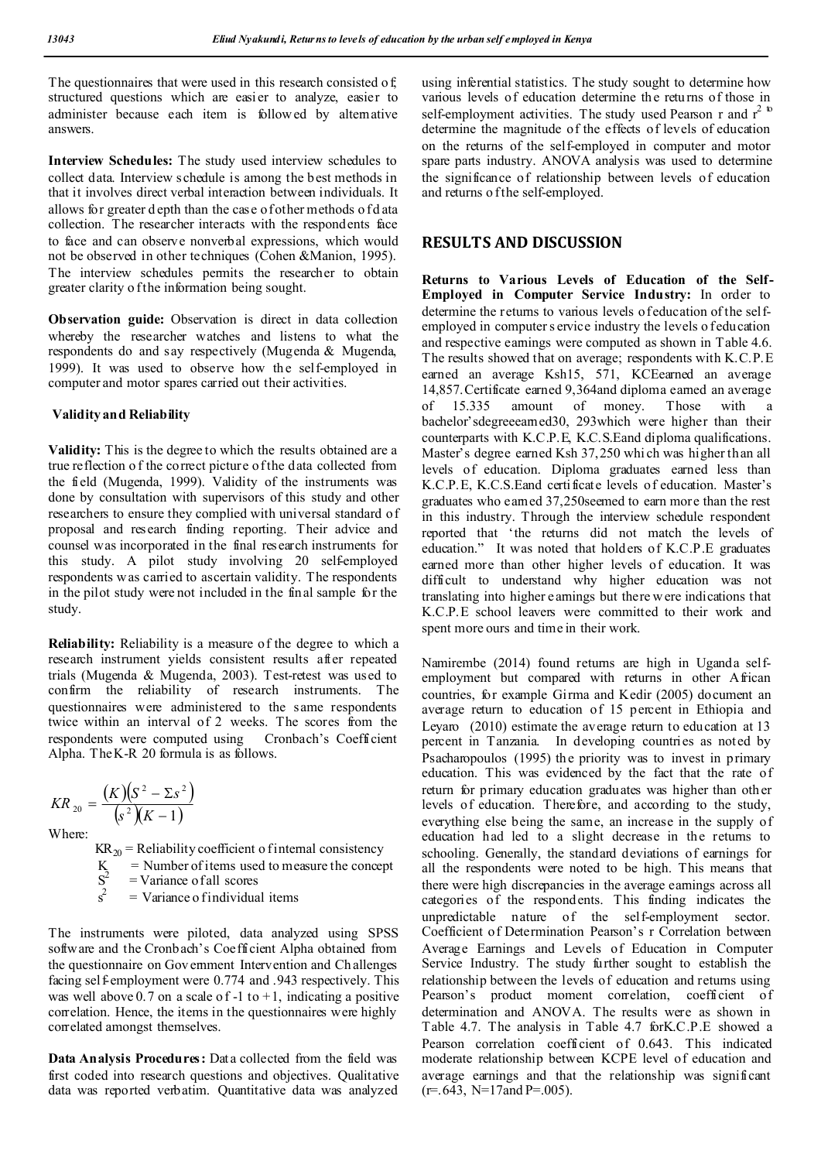The questionnaires that were used in this research consisted of, structured questions which are easier to analyze, easier to administer because each item is followed by alternative answers.

**Interview Schedules:** The study used interview schedules to collect data. Interview s chedule is among the best methods in that it involves direct verbal interaction between individuals. It allows for greater d epth than the case of other methods o f d ata collection. The researcher interacts with the respondents face to face and can observe nonverbal expressions, which would not be observed in other techniques (Cohen &Manion, 1995). The interview schedules permits the researcher to obtain greater clarity o f the information being sought.

**Observation guide:** Observation is direct in data collection whereby the researcher watches and listens to what the respondents do and say respectively (Mugenda & Mugenda, 1999). It was used to observe how the self-employed in computer and motor spares carried out their activities.

#### **Validity and Reliability**

**Validity:** This is the degree to which the results obtained are a true reflection o f the correct picture of the data collected from the field (Mugenda, 1999). Validity of the instruments was done by consultation with supervisors of this study and other researchers to ensure they complied with universal standard of proposal and research finding reporting. Their advice and counsel was incorporated in the final research instruments for this study. A pilot study involving 20 self-employed respondents was carried to ascertain validity. The respondents in the pilot study were not included in the final sample for the study.

**Reliability:** Reliability is a measure of the degree to which a research instrument yields consistent results after repeated trials (Mugenda & Mugenda, 2003). Test-retest was used to confirm the reliability of research instruments. The questionnaires were administered to the same respondents twice within an interval of 2 weeks. The scores from the respondents were computed using Cronbach's Coefficient Alpha. The K-R 20 formula is as follows.

$$
KR_{20} = \frac{(K)(S^{2} - \Sigma s^{2})}{(s^{2})(K - 1)}
$$

Where:

 $KR_{20}$  = Reliability coefficient o f internal consistency  $K =$  Number of items used to measure the concept

 $S^2$ = Variance of all scores

 s  $s^2$  $=$  Variance o f individual items

The instruments were piloted, data analyzed using SPSS software and the Cronbach's Coefficient Alpha obtained from the questionnaire on Gov ernment Intervention and Ch allenges facing self-employment were 0.774 and .943 respectively. This was well above 0.7 on a scale of -1 to +1, indicating a positive correlation. Hence, the items in the questionnaires were highly correlated amongst themselves.

**Data Analysis Procedures:** Data collected from the field was first coded into research questions and objectives. Qualitative data was reported verbatim. Quantitative data was analyzed

using inferential statistics. The study sought to determine how various levels of education determine the returns of those in self-employment activities. The study used Pearson r and  $r^2$  <sup>to</sup> determine the magnitude of the effects of levels of education on the returns of the self-employed in computer and motor spare parts industry. ANOVA analysis was used to determine the significance of relationship between levels of education and returns o f the self-employed.

## **RESULTS AND DISCUSSION**

**Returns to Various Levels of Education of the Self-Employed in Computer Service Industry:** In order to determine the returns to various levels of education of the selfemployed in computer s ervice industry the levels o feducation and respective earnings were computed as shown in Table 4.6. The results showed that on average; respondents with K.C.P.E earned an average Ksh15, 571, KCEearned an average 14,857.Certificate earned 9,364and diploma earned an average of 15.335 amount of money. Those with a bachelor'sdegreeearned30, 293which were higher than their counterparts with K.C.P.E, K.C.S.Eand diploma qualifications. Master's degree earned Ksh 37,250 whi ch was higher than all levels of education. Diploma graduates earned less than K.C.P.E, K.C.S.Eand certificate levels of education. Master's graduates who earned 37,250seemed to earn more than the rest in this industry. Through the interview schedule respondent reported that 'the returns did not match the levels of education." It was noted that holders of K.C.P.E graduates earned more than other higher levels of education. It was difficult to understand why higher education was not translating into higher earnings but there w ere indications that K.C.P.E school leavers were committed to their work and spent more ours and time in their work.

Namirembe (2014) found returns are high in Uganda selfemployment but compared with returns in other African countries, for example Girma and Kedir (2005) document an average return to education of 15 percent in Ethiopia and Leyaro (2010) estimate the average return to education at 13 percent in Tanzania. In developing countries as noted by Psacharopoulos (1995) the priority was to invest in primary education. This was evidenced by the fact that the rate of return for primary education graduates was higher than other levels of education. Therefore, and according to the study, everything else being the same, an increase in the supply of education had led to a slight decrease in the returns to schooling. Generally, the standard deviations of earnings for all the respondents were noted to be high. This means that there were high discrepancies in the average earnings across all categories of the respondents. This finding indicates the unpredictable nature of the self-employment sector. Coefficient of Determination Pearson's r Correlation between Average Earnings and Levels of Education in Computer Service Industry. The study further sought to establish the relationship between the levels of education and returns using Pearson's product moment correlation, coefficient of determination and ANOVA. The results were as shown in Table 4.7. The analysis in Table 4.7 forK.C.P.E showed a Pearson correlation coefficient of 0.643. This indicated moderate relationship between KCPE level of education and average earnings and that the relationship was significant  $(r=.643, N=17$  and P=.005).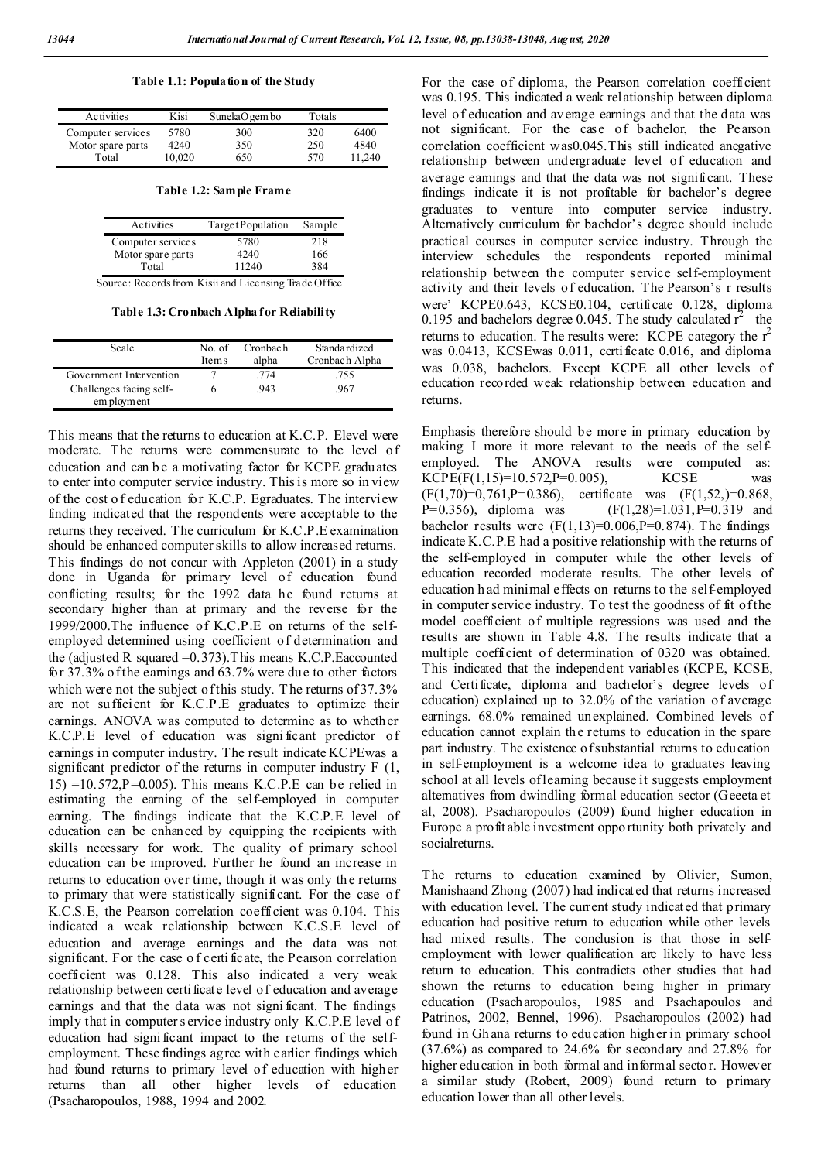**Table 1.1: Population of the Study**

| Activities        | Kisi   | SunekaO gem bo | Totals |        |
|-------------------|--------|----------------|--------|--------|
| Computer services | 5780   | 300            | 320    | 6400   |
| Motor spare parts | 4240   | 350            | 250    | 4840   |
| Total             | 10.020 | 650            | 570    | 11.240 |

**Table 1.2: Sample Frame**

| Activities                                            | TargetPopulation | Sample |  |  |  |
|-------------------------------------------------------|------------------|--------|--|--|--|
| Computer services                                     | 5780             | 218    |  |  |  |
| Motor spare parts                                     | 4240             | 166    |  |  |  |
| Total                                                 | 11240            | 384    |  |  |  |
| Source: Records from Kisii and Licensing Trade Office |                  |        |  |  |  |

**Table 1.3: Cronbach Alpha for Reliability**

| Scale                   | No. of<br>Items | Cronbach<br>alpha | Standardized<br>Cronbach Alpha |
|-------------------------|-----------------|-------------------|--------------------------------|
| Government Intervention |                 | .774              | .755                           |
| Challenges facing self- |                 | .943              | .967                           |
| em ployment             |                 |                   |                                |

This means that the returns to education at K.C.P. Elevel were moderate. The returns were commensurate to the level of education and can be a motivating factor for KCPE graduates to enter into computer service industry. This is more so in view of the cost o f education for K.C.P. Egraduates. T he interview finding indicated that the respondents were acceptable to the returns they received. The curriculum for K.C.P.E examination should be enhanced computer skills to allow increased returns. This findings do not concur with Appleton (2001) in a study done in Uganda for primary level of education found conflicting results; for the 1992 data he found returns at secondary higher than at primary and the reverse for the 1999/2000.The influence of K.C.P.E on returns of the selfemployed determined using coefficient of determination and the (adjusted R squared  $=0.373$ ). This means K.C.P. Eaccounted for 37.3% of the earnings and 63.7% were due to other factors which were not the subject of this study. The returns of 37.3% are not sufficient for K.C.P.E graduates to optimize their earnings. ANOVA was computed to determine as to whether K.C.P.E level of education was signi ficant predictor of earnings in computer industry. The result indicate KCPEwas a significant predictor of the returns in computer industry  $F(1, 1)$  $15$ ) =10.572,P=0.005). This means K.C.P.E can be relied in estimating the earning of the self-employed in computer earning. The findings indicate that the K.C.P.E level of education can be enhanced by equipping the recipients with skills necessary for work. The quality of primary school education can be improved. Further he found an increase in returns to education over time, though it was only the returns to primary that were statistically significant. For the case of K.C.S.E, the Pearson correlation coefficient was 0.104. This indicated a weak relationship between K.C.S.E level of education and average earnings and the data was not significant. For the case o f certi ficate, the Pearson correlation coefficient was 0.128. This also indicated a very weak relationship between certi ficate level of education and average earnings and that the data was not signi ficant. The findings imply that in computer s ervice industry only K.C.P.E level of education had signi ficant impact to the returns of the selfemployment. These findings agree with earlier findings which had found returns to primary level of education with higher returns than all other higher levels of education (Psacharopoulos, 1988, 1994 and 2002.

For the case of diploma, the Pearson correlation coefficient was 0.195. This indicated a weak relationship between diploma level of education and average earnings and that the data was not significant. For the case of bachelor, the Pearson correlation coefficient was0.045.This still indicated anegative relationship between undergraduate level of education and average earnings and that the data was not significant. These findings indicate it is not profitable for bachelor's degree graduates to venture into computer service industry. Alternatively curriculum for bachelor's degree should include practical courses in computer service industry. Through the interview schedules the respondents reported minimal relationship between the computer service self-employment activity and their levels of education. The Pearson's r results were' KCPE0.643, KCSE0.104, certificate 0.128, diploma 0.195 and bachelors degree 0.045. The study calculated  $r^2$  the returns to education. The results were: KCPE category the  $r^2$ was 0.0413, KCSEwas 0.011, certificate 0.016, and diploma was 0.038, bachelors. Except KCPE all other levels of education recorded weak relationship between education and returns.

Emphasis therefore should be more in primary education by making I more it more relevant to the needs of the selfemployed. The ANOVA results were computed as:  $KCPE(F(1,15)=10.572,P=0.005)$ ,  $KCSE$  was  $(F(1,70)=0,761,P=0.386)$ , certificate was  $(F(1,52,)=0.868,$ P=0.356), diploma was  $(F(1,28)=1.031, P=0.319$  and bachelor results were  $(F(1,13)=0.006,P=0.874)$ . The findings indicate K.C.P.E had a positive relationship with the returns of the self-employed in computer while the other levels of education recorded moderate results. The other levels of education h ad minimal effects on returns to the self-employed in computer service industry. To test the goodness of fit of the model coefficient of multiple regressions was used and the results are shown in Table 4.8. The results indicate that a multiple coefficient of determination of 0320 was obtained. This indicated that the independent variables (KCPE, KCSE, and Certificate, diploma and bachelor's degree levels of education) explained up to 32.0% of the variation of average earnings. 68.0% remained unexplained. Combined levels of education cannot explain the returns to education in the spare part industry. The existence of substantial returns to education in self-employment is a welcome idea to graduates leaving school at all levels of learning because it suggests employment alternatives from dwindling formal education sector (Geeeta et al, 2008). Psacharopoulos (2009) found higher education in Europe a profit able investment oppo rtunity both privately and socialreturns.

The returns to education examined by Olivier, Sumon, Manishaand Zhong (2007) had indicated that returns increased with education level. The current study indicated that primary education had positive return to education while other levels had mixed results. The conclusion is that those in selfemployment with lower qualification are likely to have less return to education. This contradicts other studies that had shown the returns to education being higher in primary education (Psacharopoulos, 1985 and Psachapoulos and Patrinos, 2002, Bennel, 1996). Psacharopoulos (2002) had found in Gh ana returns to education higher in primary school  $(37.6\%)$  as compared to 24.6% for secondary and 27.8% for higher education in both formal and informal sector. However a similar study (Robert, 2009) found return to primary education lower than all other levels.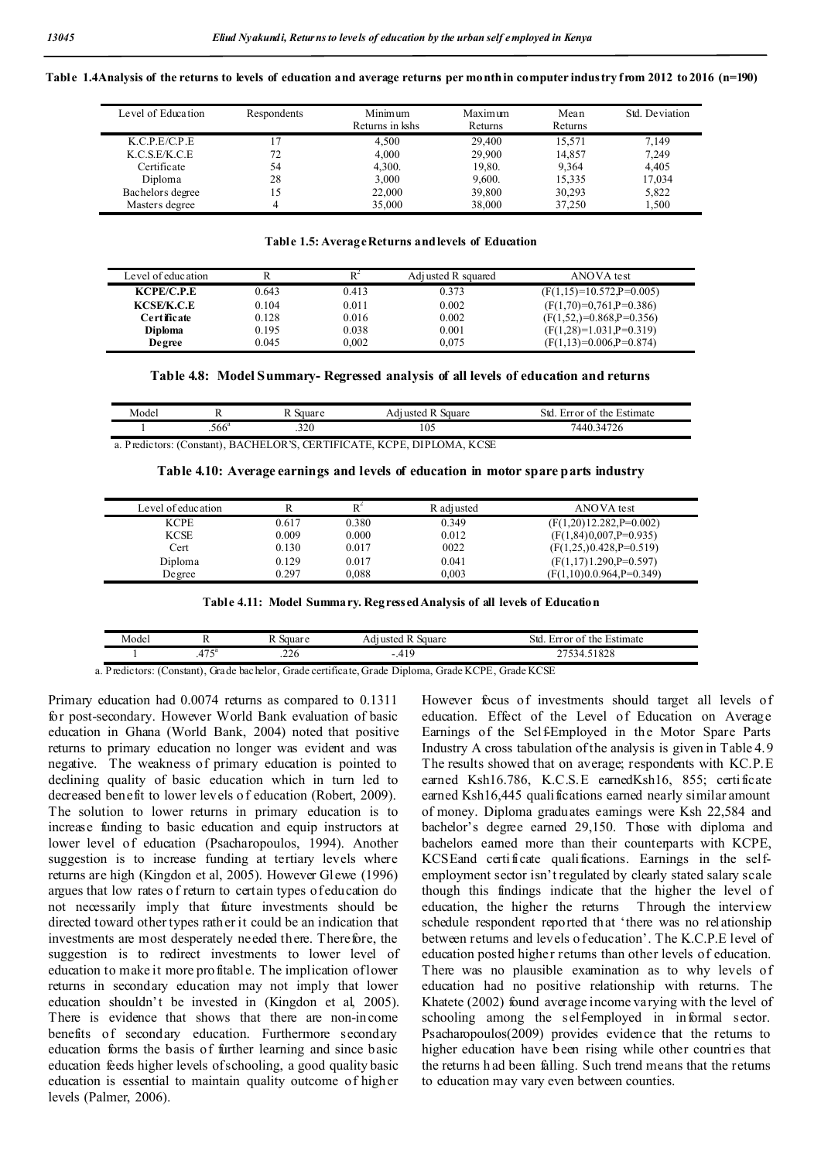Table 1.4Analysis of the returns to levels of education and average returns per month in computer industry from 2012 to 2016 (n=190)

| Level of Education | Respondents | Minimum<br>Returns in kshs | Maximum<br><b>Returns</b> | Mean<br>Returns | Std. Deviation |
|--------------------|-------------|----------------------------|---------------------------|-----------------|----------------|
| K.C.P.E/C.P.E      |             | 4.500                      | 29,400                    | 15.571          | 7,149          |
| K.C.S.E/K.C.E      | 72          | 4.000                      | 29,900                    | 14.857          | 7,249          |
| Certificate        | 54          | 4,300.                     | 19.80.                    | 9.364           | 4.405          |
| Diploma            | 28          | 3,000                      | 9,600.                    | 15.335          | 17.034         |
| Bachelors degree   |             | 22,000                     | 39,800                    | 30,293          | 5,822          |
| Masters degree     |             | 35,000                     | 38,000                    | 37,250          | 1.500          |

## **Table 1.5: Average Returns andlevels of Education**

| Level of education |       |       | Adi usted R squared | ANOVA test                 |
|--------------------|-------|-------|---------------------|----------------------------|
| KCPE/C.P.E         | 0.643 | 0.413 | 0.373               | $(F(1,15)=10.572,P=0.005)$ |
| <b>KCSE/K.C.E</b>  | 0.104 | 0.011 | 0.002               | $(F(1,70)=0.761.P=0.386)$  |
| Certificate        | 0.128 | 0.016 | 0.002               | $(F(1,52,)=0.868,P=0.356)$ |
| <b>Diploma</b>     | 0.195 | 0.038 | 0.001               | $(F(1,28)=1.031.P=0.319)$  |
| Degree             | 0.045 | 0.002 | 0.075               | $(F(1,13)=0.006,P=0.874)$  |

### **Table 4.8: Model Summary- Regressed analysis of all levels of education and returns**

| Model |              | 110 H | `quare<br>эα | Std<br>stimate<br>the<br>Ωr<br>$1 - 1 + 1 +$<br>$^{\circ}$<br>. . |  |
|-------|--------------|-------|--------------|-------------------------------------------------------------------|--|
|       | - ca<br>.566 | .320  | 105          | 1.472<<br>44<br>34<br>/2t                                         |  |

a. Predictors: (Constant), BACHELOR'S, CERTIFICATE, KCPE, DIPLOMA, KCSE

|  |  | Table 4.10: Average earnings and levels of education in motor spare parts industry |  |
|--|--|------------------------------------------------------------------------------------|--|
|  |  |                                                                                    |  |

| Level of education |       | $\mathsf{R}^{\scriptscriptstyle\textrm{-}}$ | R adiusted | ANOVA test                  |
|--------------------|-------|---------------------------------------------|------------|-----------------------------|
| <b>KCPE</b>        | 0.617 | 0.380                                       | 0.349      | $(F(1,20)12.282,P=0.002)$   |
| <b>KCSE</b>        | 0.009 | 0.000                                       | 0.012      | $(F(1, 84)0, 007, P=0.935)$ |
| Cert               | 0.130 | 0.017                                       | 0022       | $(F(1,25, 0.428, P=0.519))$ |
| Diploma            | 0.129 | 0.017                                       | 0.041      | $(F(1,17)1.290,P=0.597)$    |
| De gree            | 0.297 | 0.088                                       | 0.003      | (F(1,10)0.0.964,P=0.349)    |
|                    |       |                                             |            |                             |

| Table 4.11: Model Summary. Regressed Analysis of all levels of Education |  |  |  |  |  |
|--------------------------------------------------------------------------|--|--|--|--|--|
|--------------------------------------------------------------------------|--|--|--|--|--|

| Model |                          | 110122<br>uai         | auare<br>dureted | Std<br>Estimate<br>the.<br>urror of |
|-------|--------------------------|-----------------------|------------------|-------------------------------------|
|       | $\overline{a}$<br>ر ر ج. | 22.<br>⊾∠د.           | - 4              | 51000<br>1020<br>т.                 |
| _ _   | .                        | $\sim$ $\sim$<br>____ | .                |                                     |

a. Predictors: (Constant), Grade bachelor, Grade certificate, Grade Diploma, Grade KCPE, Grade KCSE

Primary education had 0.0074 returns as compared to 0.1311 for post-secondary. However World Bank evaluation of basic education in Ghana (World Bank, 2004) noted that positive returns to primary education no longer was evident and was negative. The weakness of primary education is pointed to declining quality of basic education which in turn led to decreased benefit to lower levels o f education (Robert, 2009). The solution to lower returns in primary education is to increase funding to basic education and equip instructors at lower level of education (Psacharopoulos, 1994). Another suggestion is to increase funding at tertiary levels where returns are high (Kingdon et al, 2005). However Glewe (1996) argues that low rates o f return to certain types of education do not necessarily imply that future investments should be directed toward other types rather it could be an indication that investments are most desperately needed there. Therefore, the suggestion is to redirect investments to lower level of education to make it more profitable. The implication of lower returns in secondary education may not imply that lower education shouldn't be invested in (Kingdon et al, 2005). There is evidence that shows that there are non-income benefits of secondary education. Furthermore secondary education forms the basis of further learning and since basic education feeds higher levels of schooling, a good quality basic education is essential to maintain quality outcome of higher levels (Palmer, 2006).

However focus of investments should target all levels of education. Effect of the Level of Education on Average Earnings of the Self-Employed in the Motor Spare Parts Industry A cross tabulation of the analysis is given in Table 4.9 The results showed that on average; respondents with KC.P.E earned Ksh16.786, K.C.S.E earnedKsh16, 855; certificate earned Ksh16,445 qualifications earned nearly similar amount of money. Diploma graduates earnings were Ksh 22,584 and bachelor's degree earned 29,150. Those with diploma and bachelors earned more than their counterparts with KCPE, KCSEand certificate qualifications. Earnings in the selfemployment sector isn't regulated by clearly stated salary scale though this findings indicate that the higher the level of education, the higher the returns Through the interview schedule respondent reported that 'there was no relationship between returns and levels o feducation'. The K.C.P.E level of education posted higher returns than other levels of education. There was no plausible examination as to why levels of education had no positive relationship with returns. The Khatete (2002) found average income varying with the level of schooling among the self-employed in informal sector. Psacharopoulos(2009) provides evidence that the returns to higher education have been rising while other countries that the returns h ad been falling. Such trend means that the returns to education may vary even between counties.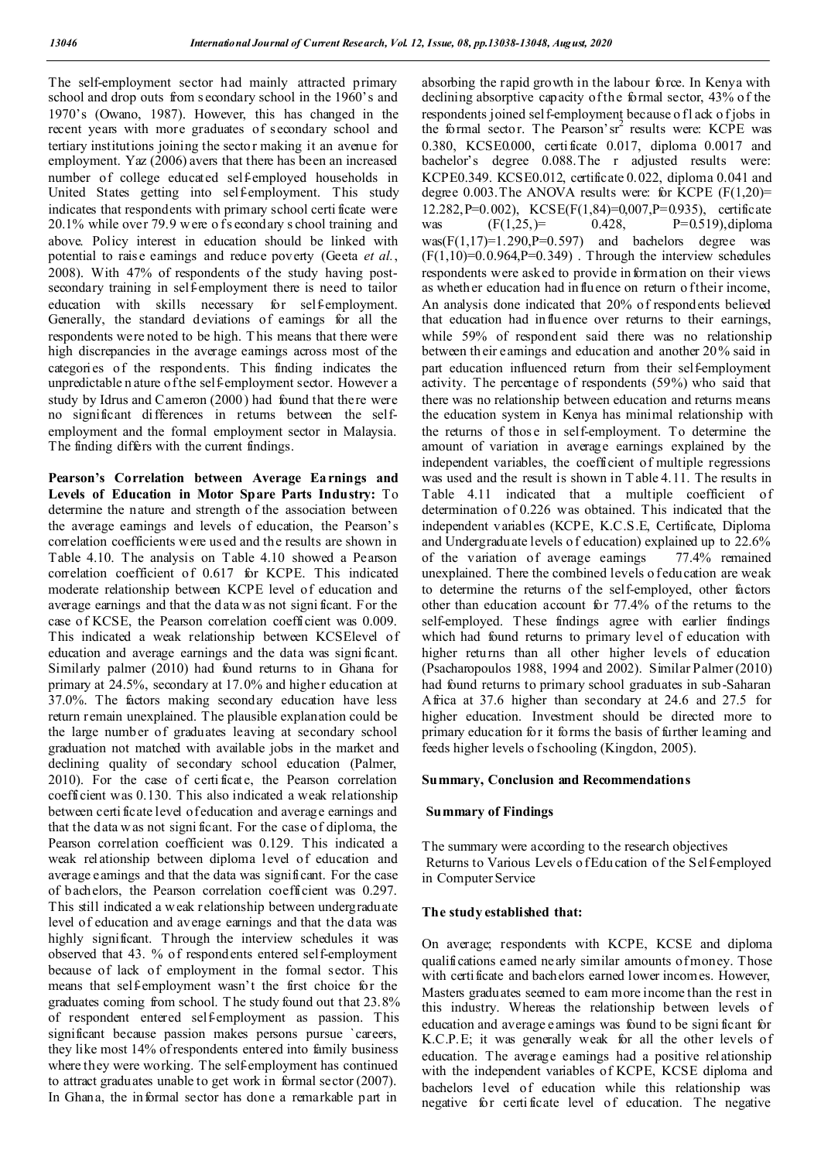The self-employment sector had mainly attracted primary school and drop outs from s econdary school in the 1960's and 1970's (Owano, 1987). However, this has changed in the recent years with more graduates of secondary school and tertiary institutions joining the sector making it an avenue for employment. Yaz (2006) avers that there has been an increased number of college educated self-employed households in United States getting into self-employment. This study indicates that respondents with primary school certi ficate were  $20.1\%$  while over 79.9 w ere of s econdary s chool training and above. Policy interest in education should be linked with potential to rais e earnings and reduce poverty (Geeta *et al.*, 2008). With 47% of respondents of the study having postsecondary training in self-employment there is need to tailor education with skills necessary for self-employment. Generally, the standard deviations of earnings for all the respondents were noted to be high. T his means that there were high discrepancies in the average earnings across most of the categories of the respondents. This finding indicates the unpredictable n ature of the self-employment sector. However a study by Idrus and Cameron (2000) had found that there were no significant differences in returns between the selfemployment and the formal employment sector in Malaysia. The finding differs with the current findings.

**Pearson's Correlation between Average Ea rnings and Levels of Education in Motor Spare Parts Industry:** To determine the nature and strength of the association between the average earnings and levels of education, the Pearson's correlation coefficients were used and the results are shown in Table 4.10. The analysis on Table 4.10 showed a Pearson correlation coefficient of 0.617 for KCPE. This indicated moderate relationship between KCPE level of education and average earnings and that the d ata w as not signi ficant. For the case of KCSE, the Pearson correlation coefficient was 0.009. This indicated a weak relationship between KCSElevel of education and average earnings and the data was signi ficant. Similarly palmer (2010) had found returns to in Ghana for primary at 24.5%, secondary at 17.0% and higher education at 37.0%. The factors making secondary education have less return remain unexplained. The plausible explanation could be the large number of graduates leaving at secondary school graduation not matched with available jobs in the market and declining quality of secondary school education (Palmer, 2010). For the case of certi ficate, the Pearson correlation coefficient was 0.130. This also indicated a weak relationship between certi ficate level of education and average earnings and that the data w as not signi ficant. For the case of diploma, the Pearson correlation coefficient was 0.129. This indicated a weak relationship between diploma level of education and average earnings and that the data was significant. For the case of bachelors, the Pearson correlation coefficient was 0.297. This still indicated a weak relationship between undergraduate level of education and average earnings and that the data was highly significant. Through the interview schedules it was observed that 43. % of respondents entered self-employment because of lack of employment in the formal sector. This means that self-employment wasn't the first choice for the graduates coming from school. T he study found out that 23.8% of respondent entered self-employment as passion. This significant because passion makes persons pursue `careers, they like most 14% of respondents entered into family business where they were working. The self-employment has continued to attract graduates unable to get work in formal sector (2007). In Ghana, the informal sector has done a remarkable part in

absorbing the rapid growth in the labour force. In Kenya with declining absorptive capacity of the formal sector, 43% of the respondents joined self-employment because of l ack of jobs in the formal sector. The Pearson'sr<sup>2</sup> results were: KCPE was 0.380, KCSE0.000, certificate 0.017, diploma 0.0017 and bachelor's degree 0.088.The r adjusted results were: KCPE0.349. KCSE0.012, certificate 0.022, diploma 0.041 and degree 0.003. The ANOVA results were: for KCPE  $(F(1,20)$ = 12.282, P=0.002), KCSE(F(1,84)=0,007, P=0.935), certificate<br>was  $(F(1.25.)= 0.428, P=0.519)$ . diploma was  $(F(1,25)) = 0.428$ ,  $P=0.519$ , diploma  $was(F(1,17)=1.290,P=0.597)$  and bachelors degree was  $(F(1,10)=0.0.964,P=0.349)$ . Through the interview schedules respondents were asked to provide in formation on their views as whether education had in fluence on return of their income, An analysis done indicated that 20% of respondents believed that education had influence over returns to their earnings, while 59% of respondent said there was no relationship between th eir earnings and education and another 20% said in part education influenced return from their self-employment activity. The percentage of respondents (59%) who said that there was no relationship between education and returns means the education system in Kenya has minimal relationship with the returns of thos e in self-employment. To determine the amount of variation in average earnings explained by the independent variables, the coefficient of multiple regressions was used and the result is shown in T able 4.11. The results in Table 4.11 indicated that a multiple coefficient of determination of 0.226 was obtained. This indicated that the independent variables (KCPE, K.C.S.E, Certificate, Diploma and Undergraduate levels of education) explained up to 22.6% of the variation of average earnings 77.4% remained of the variation of average earnings unexplained. There the combined levels o feducation are weak to determine the returns of the self-employed, other factors other than education account for 77.4% of the returns to the self-employed. These findings agree with earlier findings which had found returns to primary level of education with higher returns than all other higher levels of education (Psacharopoulos 1988, 1994 and 2002). Similar Palmer (2010) had found returns to primary school graduates in sub-Saharan Africa at 37.6 higher than secondary at 24.6 and 27.5 for higher education. Investment should be directed more to primary education for it forms the basis of further learning and feeds higher levels o f schooling (Kingdon, 2005).

### **Summary, Conclusion and Recommendations**

#### **Summary of Findings**

The summary were according to the research objectives Returns to Various Levels o f Edu cation of the Self-employed in Computer Service

#### **The study established that:**

On average; respondents with KCPE, KCSE and diploma qualifications earned nearly similar amounts of money. Those with certificate and bachelors earned lower incomes. However, Masters graduates seemed to earn more income than the rest in this industry. Whereas the relationship between levels of education and average earnings was found to be signi ficant for K.C.P.E; it was generally weak for all the other levels of education. The average earnings had a positive relationship with the independent variables of KCPE, KCSE diploma and bachelors level of education while this relationship was negative for certi ficate level of education. The negative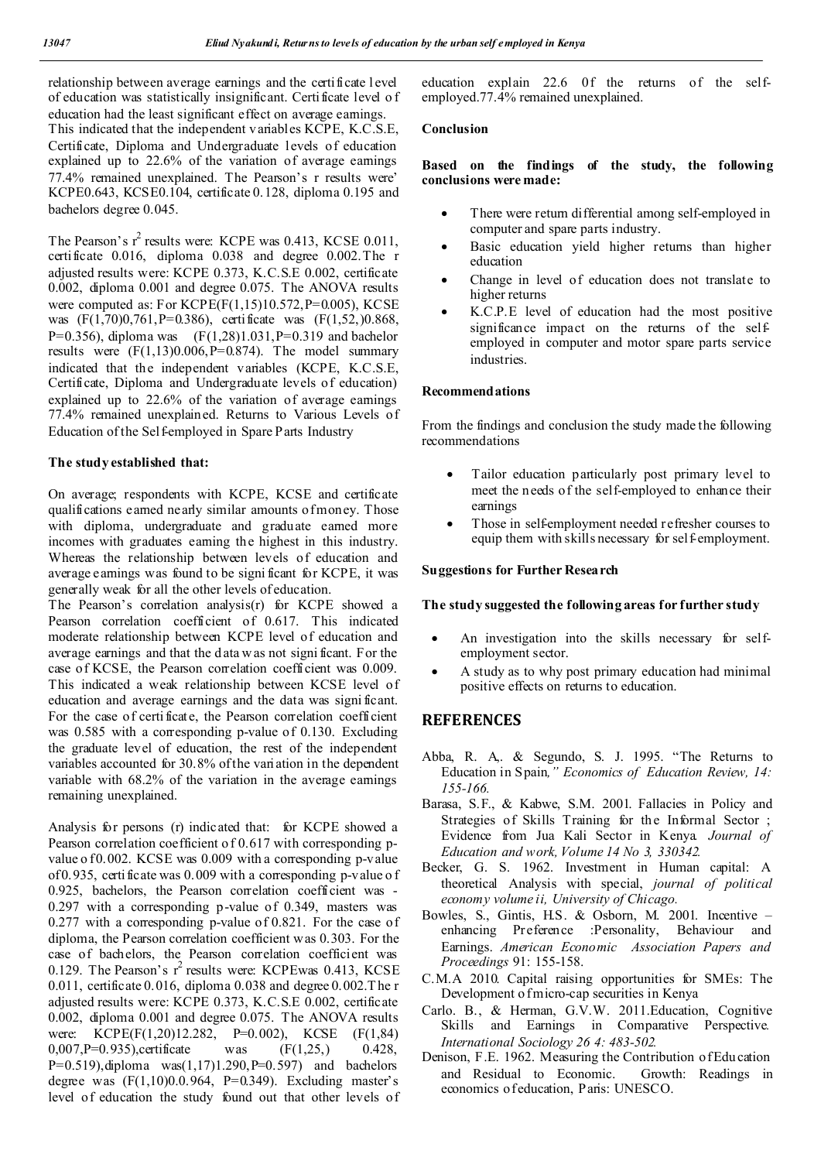relationship between average earnings and the certificate l evel of education was statistically insignificant. Certificate level o f education had the least significant effect on average earnings. This indicated that the independent v ariables KCPE, K.C.S.E, Certificate, Diploma and Undergraduate levels of education explained up to 22.6% of the variation of average earnings 77.4% remained unexplained. The Pearson's r results were' KCPE0.643, KCSE0.104, certificate 0.128, diploma 0.195 and bachelors degree 0.045.

The Pearson's  $r^2$  results were: KCPE was 0.413, KCSE 0.011, certificate 0.016, diploma 0.038 and degree 0.002.The r adjusted results were: KCPE 0.373, K.C.S.E 0.002, certificate 0.002, diploma 0.001 and degree 0.075. The ANOVA results were computed as: For  $KCPE(F(1,15)10.572,P=0.005)$ ,  $KCSE$ was (F(1,70)0,761,P=0.386), certificate was (F(1,52,)0.868, P=0.356), diploma was  $(F(1,28)1.031,P=0.319)$  and bachelor results were  $(F(1,13)0.006, P=0.874)$ . The model summary indicated that the independent variables (KCPE, K.C.S.E, Certificate, Diploma and Undergraduate levels of education) explained up to 22.6% of the variation of average earnings 77.4% remained unexplained. Returns to Various Levels of Education of the Sel femployed in Spare Parts Industry

## **The study established that:**

On average; respondents with KCPE, KCSE and certificate qualifications earned nearly similar amounts of money. Those with diploma, undergraduate and graduate earned more incomes with graduates earning the highest in this industry. Whereas the relationship between levels of education and average earnings was found to be signi ficant for KCPE, it was generally weak for all the other levels of education.

The Pearson's correlation analysis(r) for KCPE showed a Pearson correlation coefficient of 0.617. This indicated moderate relationship between KCPE level of education and average earnings and that the d ata w as not signi ficant. For the case of KCSE, the Pearson correlation coefficient was 0.009. This indicated a weak relationship between KCSE level of education and average earnings and the data was signi ficant. For the case of certificate, the Pearson correlation coefficient was 0.585 with a corresponding p-value of 0.130. Excluding the graduate level of education, the rest of the independent variables accounted for 30.8% of the variation in the dependent variable with 68.2% of the variation in the average earnings remaining unexplained.

Analysis for persons (r) indicated that: for KCPE showed a Pearson correlation coefficient of 0.617 with corresponding pvalue o f 0.002. KCSE was 0.009 with a corresponding p-value of 0.935, certificate was 0.009 with a corresponding p-value o f 0.925, bachelors, the Pearson correlation coefficient was - 0.297 with a corresponding p-value of 0.349, masters was 0.277 with a corresponding p-value of 0.821. For the case of diploma, the Pearson correlation coefficient was 0.303. For the case of bachelors, the Pearson correlation coefficient was 0.129. The Pearson's  $r^2$  results were: KCPEwas 0.413, KCSE 0.011, certificate 0.016, diploma 0.038 and degree 0.002.T he r adjusted results were: KCPE 0.373, K.C.S.E 0.002, certificate 0.002, diploma 0.001 and degree 0.075. The ANOVA results were: KCPE(F(1,20)12.282, P=0.002), KCSE (F(1,84) 0,007, P=0.935), certificate was  $(F(1,25))$  0.428, P=0.519), diploma  $was(1,17)1.290$ , P=0.597) and bachelors degree was  $(F(1,10)0.0.964, P=0.349)$ . Excluding master's level of education the study found out that other levels of education explain 22.6 0f the returns of the selfemployed.77.4% remained unexplained.

## **Conclusion**

### **Based on the findings of the study, the following conclusions were made:**

- There were return differential among self-employed in computer and spare parts industry.
- Basic education yield higher returns than higher education
- Change in level of education does not translate to higher returns
- K.C.P.E level of education had the most positive significance impact on the returns of the selfemployed in computer and motor spare parts service industries.

### **Recommendations**

From the findings and conclusion the study made the following recommendations

- Tailor education particularly post primary level to meet the n eeds of the self-employed to enhance their earnings
- Those in self-employment needed refresher courses to equip them with skills necessary for self-employment.

#### **Suggestions for Further Research**

#### **The study suggested the following areas for further study**

- An investigation into the skills necessary for selfemployment sector.
- A study as to why post primary education had minimal positive effects on returns to education.

## **REFERENCES**

- Abba, R. A,. & Segundo, S. J. 1995. "The Returns to Education in Spain*," Economics of Education Review, 14: 155-166.*
- Barasa, S.F., & Kabwe, S.M. 2001. Fallacies in Policy and Strategies of Skills Training for the Informal Sector ; Evidence from Jua Kali Sector in Kenya*. Journal of Education and work, Volume 14 No 3, 330342.*
- Becker, G. S. 1962. Investment in Human capital: A theoretical Analysis with special, *journal of political economy volume ii, University of Chicago.*
- Bowles, S., Gintis, H.S. & Osborn, M. 2001. Incentive enhancing Preference :Personality, Behaviour and Earnings. *American Economic Association Papers and Proceedings* 91: 155-158.
- C.M.A 2010. Capital raising opportunities for SMEs: The Development of micro-cap securities in Kenya
- Carlo. B., & Herman, G.V.W. 2011.Education, Cognitive Skills and Earnings in Comparative Perspective*. International Sociology 26 4: 483-502.*
- Denison, F.E. 1962. Measuring the Contribution of Edu cation and Residual to Economic. Growth: Readings in economics of education, Paris: UNESCO.